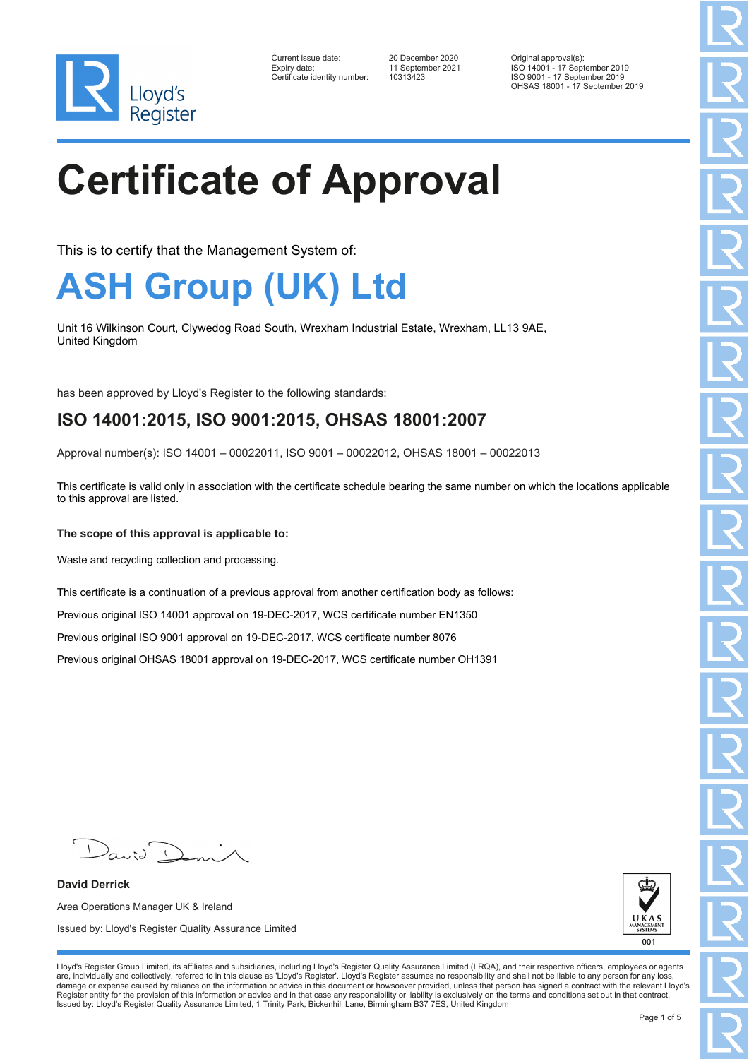

| Current issue date:          |
|------------------------------|
| Expiry date:                 |
| Certificate identity number: |

Certificate identity number: 10313423

Current issue date: 20 December 2020 Original approval(s): Expiry date: 11 September 2021 ISO 14001 - 17 September 2019 ISO 9001 - 17 September 2019 OHSAS 18001 - 17 September 2019

# **Certificate of Approval**

This is to certify that the Management System of:

### **ASH Group (UK) Ltd**

Unit 16 Wilkinson Court, Clywedog Road South, Wrexham Industrial Estate, Wrexham, LL13 9AE, United Kingdom

has been approved by Lloyd's Register to the following standards:

### **ISO 14001:2015, ISO 9001:2015, OHSAS 18001:2007**

Approval number(s): ISO 14001 – 00022011, ISO 9001 – 00022012, OHSAS 18001 – 00022013

This certificate is valid only in association with the certificate schedule bearing the same number on which the locations applicable to this approval are listed.

#### **The scope of this approval is applicable to:**

Waste and recycling collection and processing.

This certificate is a continuation of a previous approval from another certification body as follows:

Previous original ISO 14001 approval on 19-DEC-2017, WCS certificate number EN1350

Previous original ISO 9001 approval on 19-DEC-2017, WCS certificate number 8076

Previous original OHSAS 18001 approval on 19-DEC-2017, WCS certificate number OH1391

**David Derrick** Area Operations Manager UK & Ireland Issued by: Lloyd's Register Quality Assurance Limited



Lloyd's Register Group Limited, its affiliates and subsidiaries, including Lloyd's Register Quality Assurance Limited (LRQA), and their respective officers, employees or agents are, individually and collectively, referred to in this clause as 'Lloyd's Register'. Lloyd's Register assumes no responsibility and shall not be liable to any person for any loss,<br>damage or expense caused by reliance on t Register entity for the provision of this information or advice and in that case any responsibility or liability is exclusively on the terms and conditions set out in that contract. Issued by: Lloyd's Register Quality Assurance Limited, 1 Trinity Park, Bickenhill Lane, Birmingham B37 7ES, United Kingdom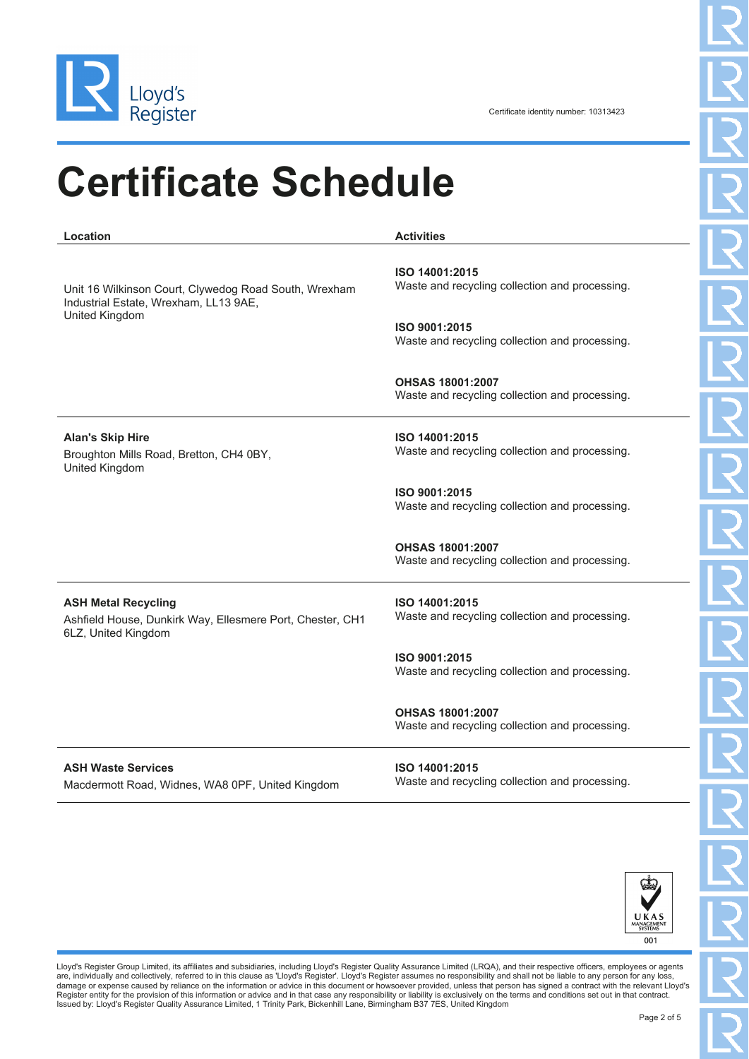

### **Certificate Schedule**

**Location Activities** Unit 16 Wilkinson Court, Clywedog Road South, Wrexham Industrial Estate, Wrexham, LL13 9AE, United Kingdom **ISO 14001:2015** Waste and recycling collection and processing. **ISO 9001:2015** Waste and recycling collection and processing. **OHSAS 18001:2007** Waste and recycling collection and processing. **Alan's Skip Hire** Broughton Mills Road, Bretton, CH4 0BY, United Kingdom **ISO 14001:2015** Waste and recycling collection and processing. **ISO 9001:2015** Waste and recycling collection and processing. **OHSAS 18001:2007** Waste and recycling collection and processing. **ASH Metal Recycling** Ashfield House, Dunkirk Way, Ellesmere Port, Chester, CH1 6LZ, United Kingdom **ISO 14001:2015** Waste and recycling collection and processing. **ISO 9001:2015** Waste and recycling collection and processing. **OHSAS 18001:2007** Waste and recycling collection and processing. **ASH Waste Services ISO 14001:2015**

Macdermott Road, Widnes, WA8 0PF, United Kingdom

Waste and recycling collection and processing.



Lloyd's Register Group Limited, its affiliates and subsidiaries, including Lloyd's Register Quality Assurance Limited (LRQA), and their respective officers, employees or agents are, individually and collectively, referred to in this clause as 'Lloyd's Register'. Lloyd's Register assumes no responsibility and shall not be liable to any person for any loss,<br>damage or expense caused by reliance on t Register entity for the provision of this information or advice and in that case any responsibility or liability is exclusively on the terms and conditions set out in that contract.<br>Issued by: Lloyd's Register Quality Assu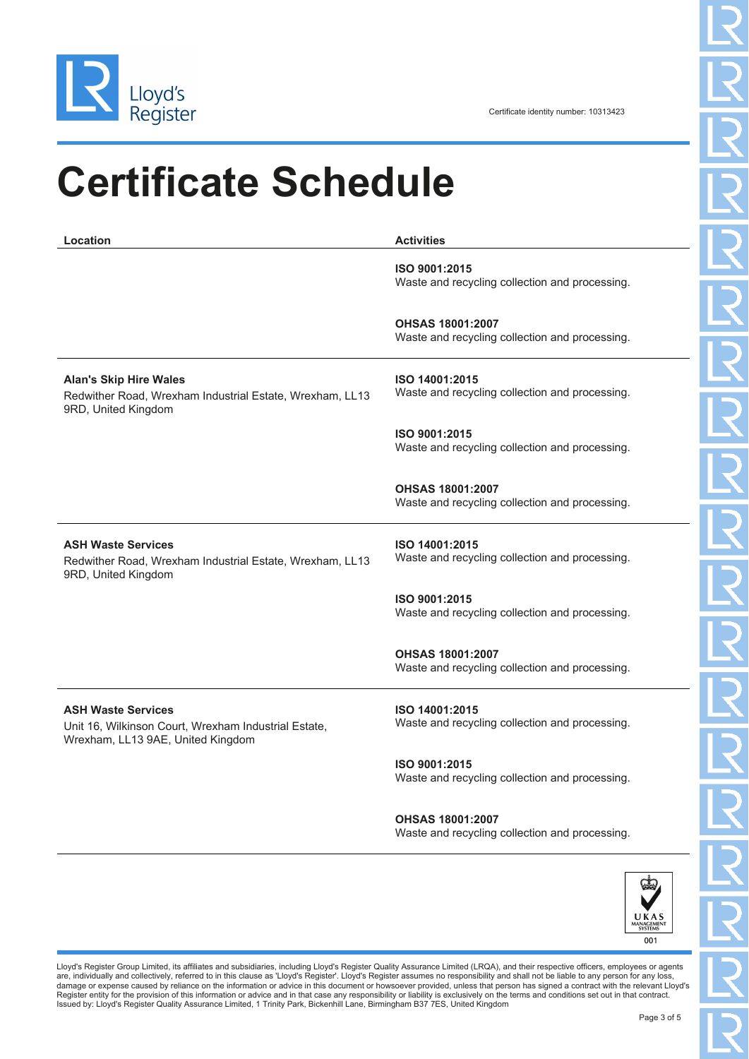

Certificate identity number: 10313423

# **Certificate Schedule**

| Location                                                                                                               | <b>Activities</b>                                                         |
|------------------------------------------------------------------------------------------------------------------------|---------------------------------------------------------------------------|
|                                                                                                                        | ISO 9001:2015<br>Waste and recycling collection and processing.           |
|                                                                                                                        | <b>OHSAS 18001:2007</b><br>Waste and recycling collection and processing. |
| <b>Alan's Skip Hire Wales</b><br>Redwither Road, Wrexham Industrial Estate, Wrexham, LL13<br>9RD, United Kingdom       | ISO 14001:2015<br>Waste and recycling collection and processing.          |
|                                                                                                                        | ISO 9001:2015<br>Waste and recycling collection and processing.           |
|                                                                                                                        | <b>OHSAS 18001:2007</b><br>Waste and recycling collection and processing. |
| <b>ASH Waste Services</b><br>Redwither Road, Wrexham Industrial Estate, Wrexham, LL13<br>9RD, United Kingdom           | ISO 14001:2015<br>Waste and recycling collection and processing.          |
|                                                                                                                        | ISO 9001:2015<br>Waste and recycling collection and processing.           |
|                                                                                                                        | <b>OHSAS 18001:2007</b><br>Waste and recycling collection and processing. |
| <b>ASH Waste Services</b><br>Unit 16, Wilkinson Court, Wrexham Industrial Estate,<br>Wrexham, LL13 9AE, United Kingdom | ISO 14001:2015<br>Waste and recycling collection and processing.          |
|                                                                                                                        | ISO 9001:2015<br>Waste and recycling collection and processing.           |
|                                                                                                                        | <b>OHSAS 18001:2007</b>                                                   |

Waste and recycling collection and processing.



Lloyd's Register Group Limited, its affiliates and subsidiaries, including Lloyd's Register Quality Assurance Limited (LRQA), and their respective officers, employees or agents<br>are, individually and collectively, referred Register entity for the provision of this information or advice and in that case any responsibility or liability is exclusively on the terms and conditions set out in that contract.<br>Issued by: Lloyd's Register Quality Assu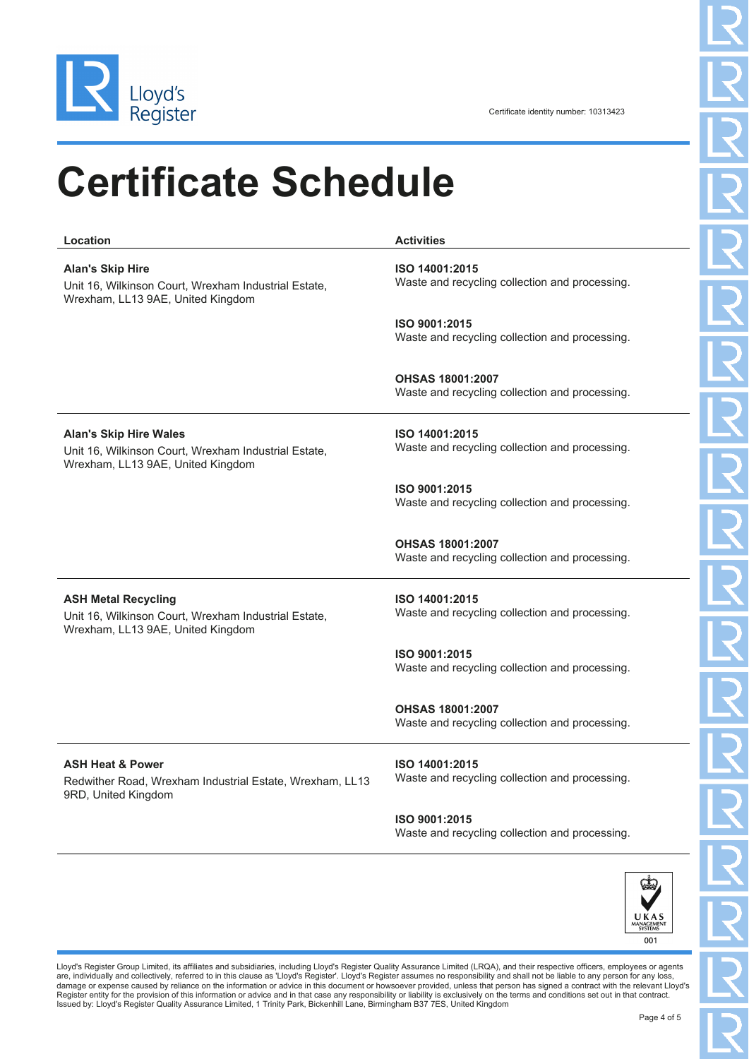

## **Certificate Schedule**

**Location Activities**

**Alan's Skip Hire** Unit 16, Wilkinson Court, Wrexham Industrial Estate, Wrexham, LL13 9AE, United Kingdom **ISO 14001:2015** Waste and recycling collection and processing. **ISO 9001:2015** Waste and recycling collection and processing. **OHSAS 18001:2007** Waste and recycling collection and processing.

> **ISO 14001:2015** Waste and recycling collection and processing.

> **ISO 9001:2015** Waste and recycling collection and processing.

> **OHSAS 18001:2007** Waste and recycling collection and processing.

#### **ASH Metal Recycling**

**Alan's Skip Hire Wales**

Unit 16, Wilkinson Court, Wrexham Industrial Estate, Wrexham, LL13 9AE, United Kingdom

Unit 16, Wilkinson Court, Wrexham Industrial Estate,

Wrexham, LL13 9AE, United Kingdom

**ISO 14001:2015** Waste and recycling collection and processing.

**ISO 9001:2015** Waste and recycling collection and processing.

**OHSAS 18001:2007** Waste and recycling collection and processing.

#### **ASH Heat & Power**

Redwither Road, Wrexham Industrial Estate, Wrexham, LL13 9RD, United Kingdom

**ISO 14001:2015** Waste and recycling collection and processing.

#### **ISO 9001:2015**

Waste and recycling collection and processing.



Lloyd's Register Group Limited, its affiliates and subsidiaries, including Lloyd's Register Quality Assurance Limited (LRQA), and their respective officers, employees or agents are, individually and collectively, referred to in this clause as 'Lloyd's Register'. Lloyd's Register assumes no responsibility and shall not be liable to any person for any loss,<br>damage or expense caused by reliance on t Register entity for the provision of this information or advice and in that case any responsibility or liability is exclusively on the terms and conditions set out in that contract. Issued by: Lloyd's Register Quality Assurance Limited, 1 Trinity Park, Bickenhill Lane, Birmingham B37 7ES, United Kingdom